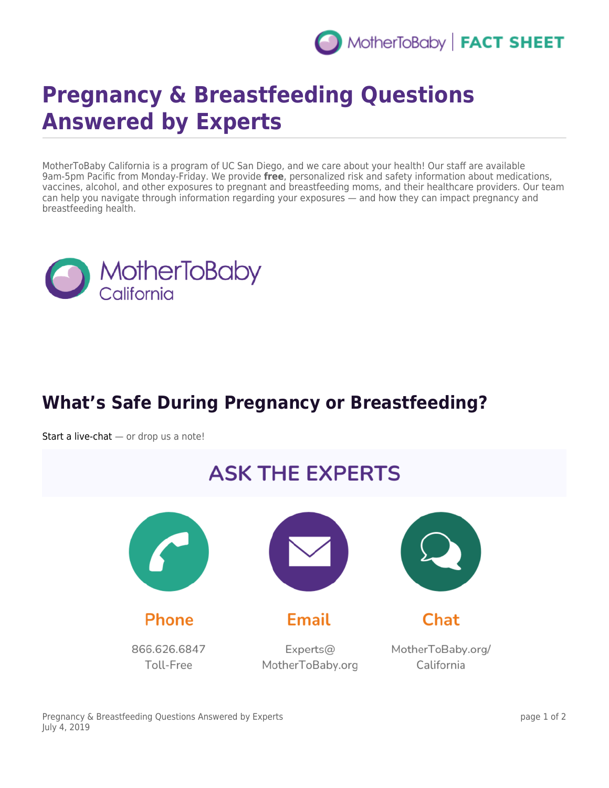

## **Pregnancy & Breastfeeding Questions Answered by Experts**

MotherToBaby California is a program of UC San Diego, and we care about your health! Our staff are available 9am-5pm Pacific from Monday-Friday. We provide **free**, personalized risk and safety information about medications, vaccines, alcohol, and other exposures to pregnant and breastfeeding moms, and their healthcare providers. Our team can help you navigate through information regarding your exposures — and how they can impact pregnancy and breastfeeding health.



## **What's Safe During Pregnancy or Breastfeeding?**

[Start a live-chat](https://www.livehelpnow.net/lhn/lcv.aspx?d=0&ms=&zzwindow=30071&lhnid=4882&custom1=&custom2=&custom3=&pcv=&opid=0&time=3/1/2019%202:37:40%20AM)  $-$  or drop us a note!